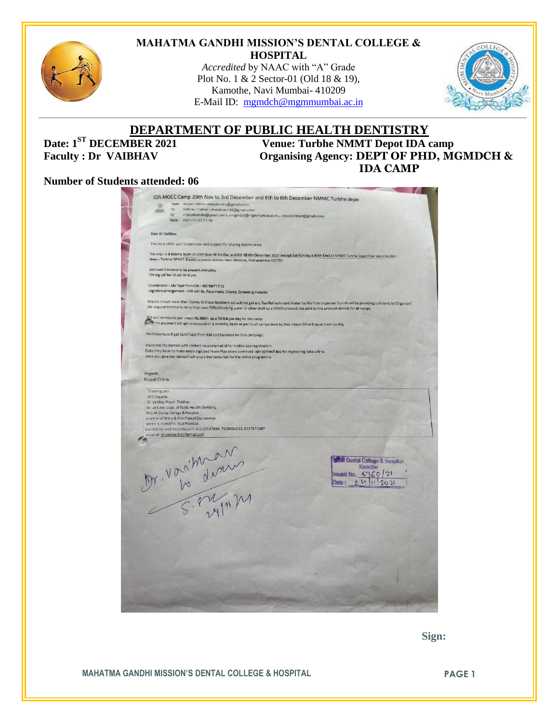

#### **MAHATMA GANDHI MISSION'S DENTAL COLLEGE & HOSPITAL**

*Accredited* by NAAC with "A" Grade Plot No. 1 & 2 Sector-01 (Old 18 & 19), Kamothe, Navi Mumbai- 410209 E-Mail ID: [mgmdch@mgmmumbai.ac.in](mailto:mgmdch@mgmmumbai.ac.in)



# **DEPARTMENT OF PUBLIC HEALTH DENTISTRY**<br>Venue: Turbhe NMMT Depot IDA

**Venue: Turbhe NMMT Depot IDA camp Faculty : Dr VAIBHAV Organising Agency: DEPT OF PHD, MGMDCH & IDA CAMP**

#### **Number of Students attended: 06**

| IDA MOCC Camp 29th Nov to 3rd December and 6th to 8th December NMMC Turbhe depo                                                                                                                                                                                                                                            |                                        |
|----------------------------------------------------------------------------------------------------------------------------------------------------------------------------------------------------------------------------------------------------------------------------------------------------------------------------|----------------------------------------|
| From nrupali chitnis <nrupali.nohp@gmail.com><br/>œ</nrupali.nohp@gmail.com>                                                                                                                                                                                                                                               |                                        |
| Vaibhav Thakkar <drvaibhav.h32@gmail.com><br/>To<br/>c<sub>c</sub></drvaibhav.h32@gmail.com>                                                                                                                                                                                                                               |                                        |
| <replydeeksha@gmail.com>, <mgmdch@mgmmumbai.ac.in>, <dr.ankitrshah@gmail.com><br/>Date 2021-11-23 21:36</dr.ankitrshah@gmail.com></mgmdch@mgmmumbai.ac.in></replydeeksha@gmail.com>                                                                                                                                        |                                        |
|                                                                                                                                                                                                                                                                                                                            |                                        |
| Dear Dr Valbhav,                                                                                                                                                                                                                                                                                                           |                                        |
| Thanks a lot for your cooperation and support for sharing Interns team                                                                                                                                                                                                                                                     |                                        |
| We require 8 Interns team on 29th Nov till 3rd Dec and 6th till 8th December 2021 (except Sat SUnday 4 &5th Dec) at NMMT Turbhe Depot their depo location<br>Area - Turbhe NMMT Depot opposite station Navi Mumbai, Maharashtra 400701                                                                                     |                                        |
| We need 8 interns to be present everyday.<br>Timing will be 10 am till 6 pm                                                                                                                                                                                                                                                |                                        |
| Coordinator - Ms Tejal from IDA - 8879671710<br>Logistics arrangement - IDA will do, Face mask, Gloves, Screening material                                                                                                                                                                                                 |                                        |
| Interns should wear their Apron, In these locations we will not get any Tea/Refreshment/Water facility from organizer (Lunch will be providing to Interns by Organizer)<br>We request Interns to carry their own Tiffin/Drinking water or other stuff as a COVID protocol. We stick to this protocol almost for all camps. |                                        |
| IDA will reimburse per intern Rs.350/- as a TA/DA per day for the camp.<br>(a,Fd) the payment will get processed on a monthly basis as per no of camps done by that Intern IDA will issue them by chq.                                                                                                                     |                                        |
| Participants will get Certificate from IDA and Karkinos for this campaign,                                                                                                                                                                                                                                                 |                                        |
| share me the names with contact no and email id for mobile app registration.                                                                                                                                                                                                                                               |                                        |
| Data they have to make entry digitized From Play store download vpn connect app for registering data online.<br>Once you give me names I will share the demo link for the entire programme                                                                                                                                 |                                        |
|                                                                                                                                                                                                                                                                                                                            |                                        |
| Regards,                                                                                                                                                                                                                                                                                                                   |                                        |
| Nrupali Chitnis                                                                                                                                                                                                                                                                                                            |                                        |
| Thanking you.                                                                                                                                                                                                                                                                                                              |                                        |
| With regards,                                                                                                                                                                                                                                                                                                              |                                        |
| Dr. Vaibhav Pravin Thakkar,<br>Sr. Lecturer, Dept. of Public Health Dentistry,                                                                                                                                                                                                                                             |                                        |
| M.G.M. Dental College & Hospital,<br>Junction of NH-4 & Sion Panvel Expressway.                                                                                                                                                                                                                                            |                                        |
| Sector 1, Kamothe, Navi Mumbai.                                                                                                                                                                                                                                                                                            |                                        |
| Contact no: +91 9322262227, 022 27437836, 7208004232, 9137572987<br>ernail id : drvaibhav.h32@gmail.com                                                                                                                                                                                                                    |                                        |
|                                                                                                                                                                                                                                                                                                                            |                                        |
| M. Vorihian                                                                                                                                                                                                                                                                                                                |                                        |
|                                                                                                                                                                                                                                                                                                                            | <b>CM Dental College &amp; Hosphan</b> |
|                                                                                                                                                                                                                                                                                                                            | Kamothe                                |
|                                                                                                                                                                                                                                                                                                                            | Invari No. 5360/21                     |
|                                                                                                                                                                                                                                                                                                                            | 11202<br>Date :                        |
|                                                                                                                                                                                                                                                                                                                            |                                        |
|                                                                                                                                                                                                                                                                                                                            |                                        |
|                                                                                                                                                                                                                                                                                                                            |                                        |
|                                                                                                                                                                                                                                                                                                                            |                                        |
|                                                                                                                                                                                                                                                                                                                            |                                        |
|                                                                                                                                                                                                                                                                                                                            |                                        |
|                                                                                                                                                                                                                                                                                                                            |                                        |
|                                                                                                                                                                                                                                                                                                                            |                                        |
|                                                                                                                                                                                                                                                                                                                            |                                        |
|                                                                                                                                                                                                                                                                                                                            |                                        |
|                                                                                                                                                                                                                                                                                                                            |                                        |
|                                                                                                                                                                                                                                                                                                                            |                                        |
|                                                                                                                                                                                                                                                                                                                            |                                        |
|                                                                                                                                                                                                                                                                                                                            |                                        |
|                                                                                                                                                                                                                                                                                                                            |                                        |

 **Sign:**

**MAHATMA GANDHI MISSION'S DENTAL COLLEGE & HOSPITAL PAGE 1**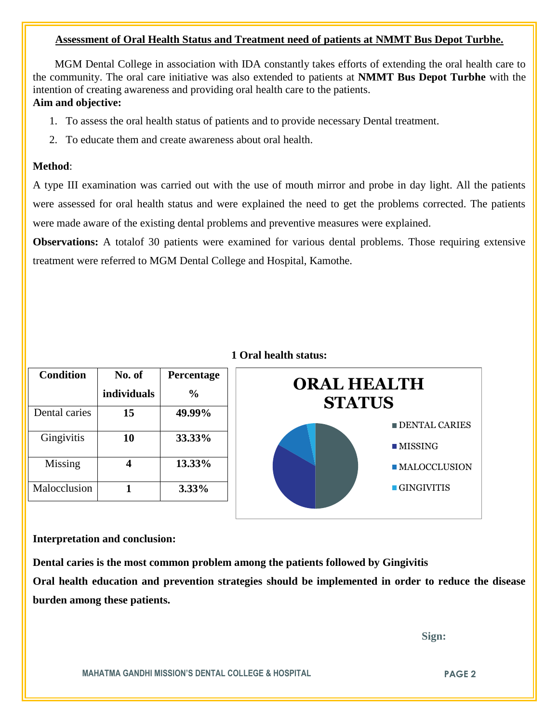### **Assessment of Oral Health Status and Treatment need of patients at NMMT Bus Depot Turbhe.**

 MGM Dental College in association with IDA constantly takes efforts of extending the oral health care to the community. The oral care initiative was also extended to patients at **NMMT Bus Depot Turbhe** with the intention of creating awareness and providing oral health care to the patients.

# **Aim and objective:**

- 1. To assess the oral health status of patients and to provide necessary Dental treatment.
- 2. To educate them and create awareness about oral health.

# **Method**:

A type III examination was carried out with the use of mouth mirror and probe in day light. All the patients were assessed for oral health status and were explained the need to get the problems corrected. The patients were made aware of the existing dental problems and preventive measures were explained.

**Observations:** A totalof 30 patients were examined for various dental problems. Those requiring extensive treatment were referred to MGM Dental College and Hospital, Kamothe.

| <b>Condition</b> | No. of             | Percentage    |  |
|------------------|--------------------|---------------|--|
|                  | <i>individuals</i> | $\frac{0}{0}$ |  |
| Dental caries    | 15                 | 49.99%        |  |
| Gingivitis       | 10                 | 33.33%        |  |
| Missing          |                    | 13.33%        |  |
| Malocclusion     |                    | 3.33%         |  |

# **1 Oral health status:**



#### **Interpretation and conclusion:**

**Dental caries is the most common problem among the patients followed by Gingivitis Oral health education and prevention strategies should be implemented in order to reduce the disease burden among these patients.**

 **Sign:**

**MAHATMA GANDHI MISSION'S DENTAL COLLEGE & HOSPITAL PAGE 2**